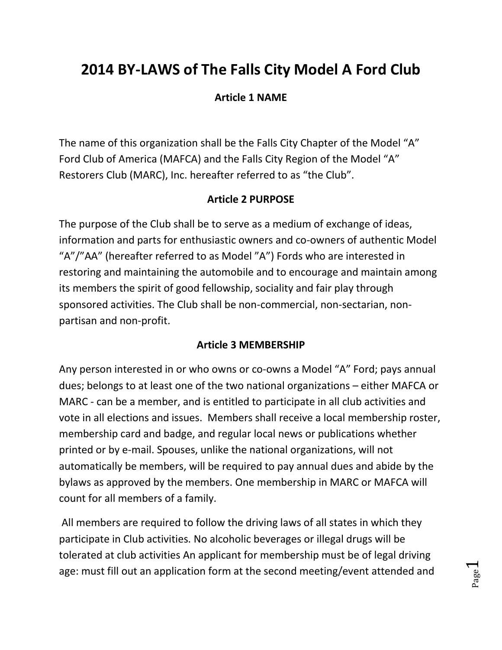# **2014 BY-LAWS of The Falls City Model A Ford Club**

# **Article 1 NAME**

The name of this organization shall be the Falls City Chapter of the Model "A" Ford Club of America (MAFCA) and the Falls City Region of the Model "A" Restorers Club (MARC), Inc. hereafter referred to as "the Club".

# **Article 2 PURPOSE**

The purpose of the Club shall be to serve as a medium of exchange of ideas, information and parts for enthusiastic owners and co-owners of authentic Model "A"/"AA" (hereafter referred to as Model "A") Fords who are interested in restoring and maintaining the automobile and to encourage and maintain among its members the spirit of good fellowship, sociality and fair play through sponsored activities. The Club shall be non-commercial, non-sectarian, nonpartisan and non-profit.

## **Article 3 MEMBERSHIP**

Any person interested in or who owns or co-owns a Model "A" Ford; pays annual dues; belongs to at least one of the two national organizations – either MAFCA or MARC - can be a member, and is entitled to participate in all club activities and vote in all elections and issues. Members shall receive a local membership roster, membership card and badge, and regular local news or publications whether printed or by e-mail. Spouses, unlike the national organizations, will not automatically be members, will be required to pay annual dues and abide by the bylaws as approved by the members. One membership in MARC or MAFCA will count for all members of a family.

All members are required to follow the driving laws of all states in which they participate in Club activities. No alcoholic beverages or illegal drugs will be tolerated at club activities An applicant for membership must be of legal driving age: must fill out an application form at the second meeting/event attended and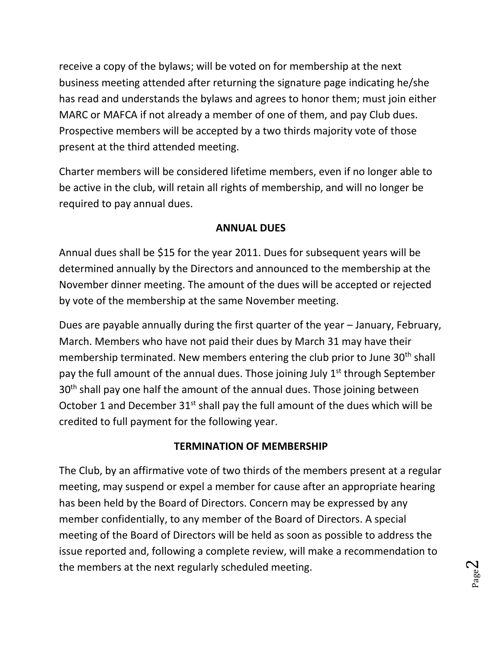receive a copy of the bylaws; will be voted on for membership at the next business meeting attended after returning the signature page indicating he/she has read and understands the bylaws and agrees to honor them; must join either MARC or MAFCA if not already a member of one of them, and pay Club dues. Prospective members will be accepted by a two thirds majority vote of those present at the third attended meeting.

Charter members will be considered lifetime members, even if no longer able to be active in the club, will retain all rights of membership, and will no longer be required to pay annual dues.

### **ANNUAL DUES**

Annual dues shall be \$15 for the year 2011. Dues for subsequent years will be determined annually by the Directors and announced to the membership at the November dinner meeting. The amount of the dues will be accepted or rejected by vote of the membership at the same November meeting.

Dues are payable annually during the first quarter of the year – January, February, March. Members who have not paid their dues by March 31 may have their membership terminated. New members entering the club prior to June 30<sup>th</sup> shall pay the full amount of the annual dues. Those joining July  $1<sup>st</sup>$  through September 30<sup>th</sup> shall pay one half the amount of the annual dues. Those joining between October 1 and December  $31^{st}$  shall pay the full amount of the dues which will be credited to full payment for the following year.

## **TERMINATION OF MEMBERSHIP**

The Club, by an affirmative vote of two thirds of the members present at a regular meeting, may suspend or expel a member for cause after an appropriate hearing has been held by the Board of Directors. Concern may be expressed by any member confidentially, to any member of the Board of Directors. A special meeting of the Board of Directors will be held as soon as possible to address the issue reported and, following a complete review, will make a recommendation to the members at the next regularly scheduled meeting.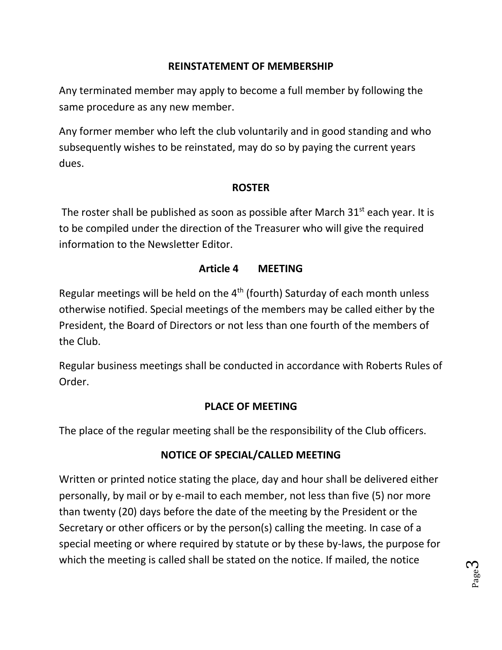# **REINSTATEMENT OF MEMBERSHIP**

Any terminated member may apply to become a full member by following the same procedure as any new member.

Any former member who left the club voluntarily and in good standing and who subsequently wishes to be reinstated, may do so by paying the current years dues.

### **ROSTER**

The roster shall be published as soon as possible after March  $31<sup>st</sup>$  each year. It is to be compiled under the direction of the Treasurer who will give the required information to the Newsletter Editor.

## **Article 4 MEETING**

Regular meetings will be held on the  $4<sup>th</sup>$  (fourth) Saturday of each month unless otherwise notified. Special meetings of the members may be called either by the President, the Board of Directors or not less than one fourth of the members of the Club.

Regular business meetings shall be conducted in accordance with Roberts Rules of Order.

## **PLACE OF MEETING**

The place of the regular meeting shall be the responsibility of the Club officers.

## **NOTICE OF SPECIAL/CALLED MEETING**

Written or printed notice stating the place, day and hour shall be delivered either personally, by mail or by e-mail to each member, not less than five (5) nor more than twenty (20) days before the date of the meeting by the President or the Secretary or other officers or by the person(s) calling the meeting. In case of a special meeting or where required by statute or by these by-laws, the purpose for which the meeting is called shall be stated on the notice. If mailed, the notice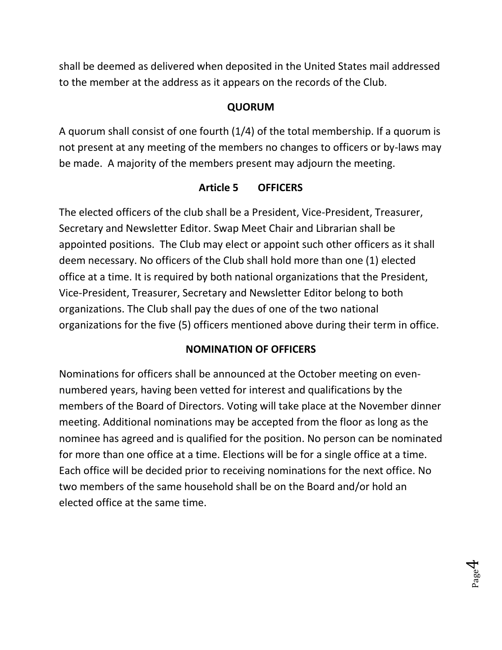shall be deemed as delivered when deposited in the United States mail addressed to the member at the address as it appears on the records of the Club.

# **QUORUM**

A quorum shall consist of one fourth (1/4) of the total membership. If a quorum is not present at any meeting of the members no changes to officers or by-laws may be made. A majority of the members present may adjourn the meeting.

## **Article 5 OFFICERS**

The elected officers of the club shall be a President, Vice-President, Treasurer, Secretary and Newsletter Editor. Swap Meet Chair and Librarian shall be appointed positions. The Club may elect or appoint such other officers as it shall deem necessary. No officers of the Club shall hold more than one (1) elected office at a time. It is required by both national organizations that the President, Vice-President, Treasurer, Secretary and Newsletter Editor belong to both organizations. The Club shall pay the dues of one of the two national organizations for the five (5) officers mentioned above during their term in office.

# **NOMINATION OF OFFICERS**

Nominations for officers shall be announced at the October meeting on evennumbered years, having been vetted for interest and qualifications by the members of the Board of Directors. Voting will take place at the November dinner meeting. Additional nominations may be accepted from the floor as long as the nominee has agreed and is qualified for the position. No person can be nominated for more than one office at a time. Elections will be for a single office at a time. Each office will be decided prior to receiving nominations for the next office. No two members of the same household shall be on the Board and/or hold an elected office at the same time.

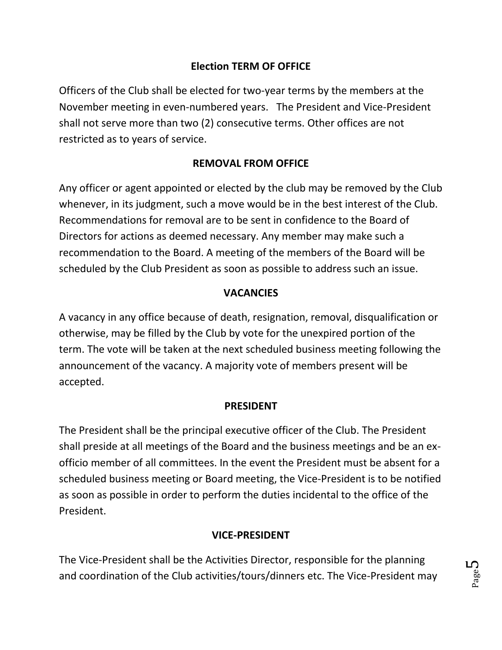# **Election TERM OF OFFICE**

Officers of the Club shall be elected for two-year terms by the members at the November meeting in even-numbered years. The President and Vice-President shall not serve more than two (2) consecutive terms. Other offices are not restricted as to years of service.

# **REMOVAL FROM OFFICE**

Any officer or agent appointed or elected by the club may be removed by the Club whenever, in its judgment, such a move would be in the best interest of the Club. Recommendations for removal are to be sent in confidence to the Board of Directors for actions as deemed necessary. Any member may make such a recommendation to the Board. A meeting of the members of the Board will be scheduled by the Club President as soon as possible to address such an issue.

### **VACANCIES**

A vacancy in any office because of death, resignation, removal, disqualification or otherwise, may be filled by the Club by vote for the unexpired portion of the term. The vote will be taken at the next scheduled business meeting following the announcement of the vacancy. A majority vote of members present will be accepted.

### **PRESIDENT**

The President shall be the principal executive officer of the Club. The President shall preside at all meetings of the Board and the business meetings and be an exofficio member of all committees. In the event the President must be absent for a scheduled business meeting or Board meeting, the Vice-President is to be notified as soon as possible in order to perform the duties incidental to the office of the President.

### **VICE-PRESIDENT**

The Vice-President shall be the Activities Director, responsible for the planning and coordination of the Club activities/tours/dinners etc. The Vice-President may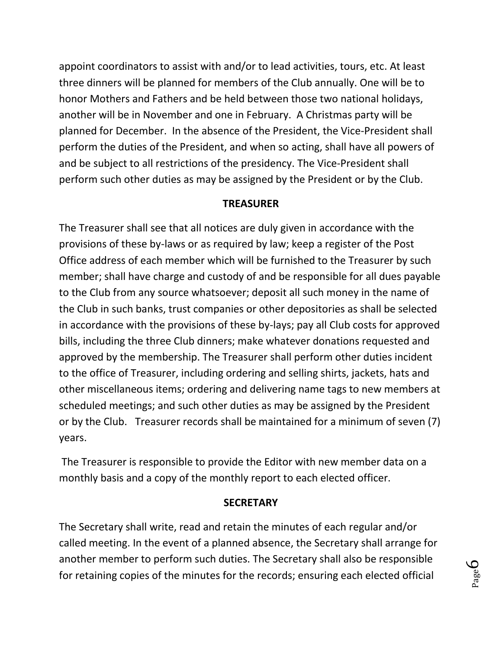appoint coordinators to assist with and/or to lead activities, tours, etc. At least three dinners will be planned for members of the Club annually. One will be to honor Mothers and Fathers and be held between those two national holidays, another will be in November and one in February. A Christmas party will be planned for December. In the absence of the President, the Vice-President shall perform the duties of the President, and when so acting, shall have all powers of and be subject to all restrictions of the presidency. The Vice-President shall perform such other duties as may be assigned by the President or by the Club.

#### **TREASURER**

The Treasurer shall see that all notices are duly given in accordance with the provisions of these by-laws or as required by law; keep a register of the Post Office address of each member which will be furnished to the Treasurer by such member; shall have charge and custody of and be responsible for all dues payable to the Club from any source whatsoever; deposit all such money in the name of the Club in such banks, trust companies or other depositories as shall be selected in accordance with the provisions of these by-lays; pay all Club costs for approved bills, including the three Club dinners; make whatever donations requested and approved by the membership. The Treasurer shall perform other duties incident to the office of Treasurer, including ordering and selling shirts, jackets, hats and other miscellaneous items; ordering and delivering name tags to new members at scheduled meetings; and such other duties as may be assigned by the President or by the Club. Treasurer records shall be maintained for a minimum of seven (7) years.

The Treasurer is responsible to provide the Editor with new member data on a monthly basis and a copy of the monthly report to each elected officer.

#### **SECRETARY**

The Secretary shall write, read and retain the minutes of each regular and/or called meeting. In the event of a planned absence, the Secretary shall arrange for another member to perform such duties. The Secretary shall also be responsible for retaining copies of the minutes for the records; ensuring each elected official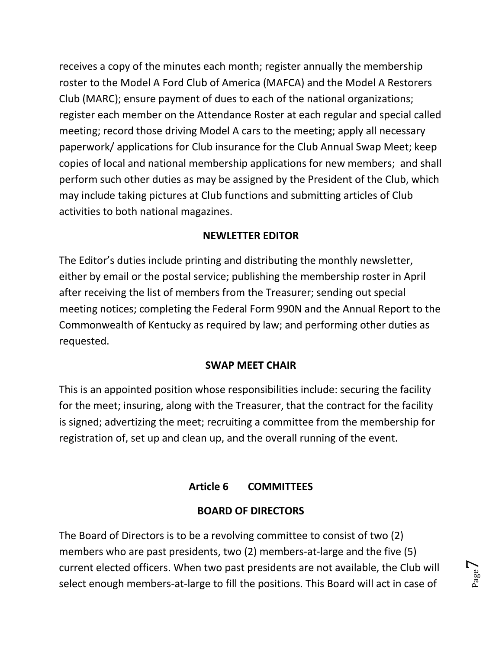receives a copy of the minutes each month; register annually the membership roster to the Model A Ford Club of America (MAFCA) and the Model A Restorers Club (MARC); ensure payment of dues to each of the national organizations; register each member on the Attendance Roster at each regular and special called meeting; record those driving Model A cars to the meeting; apply all necessary paperwork/ applications for Club insurance for the Club Annual Swap Meet; keep copies of local and national membership applications for new members; and shall perform such other duties as may be assigned by the President of the Club, which may include taking pictures at Club functions and submitting articles of Club activities to both national magazines.

# **NEWLETTER EDITOR**

The Editor's duties include printing and distributing the monthly newsletter, either by email or the postal service; publishing the membership roster in April after receiving the list of members from the Treasurer; sending out special meeting notices; completing the Federal Form 990N and the Annual Report to the Commonwealth of Kentucky as required by law; and performing other duties as requested.

## **SWAP MEET CHAIR**

This is an appointed position whose responsibilities include: securing the facility for the meet; insuring, along with the Treasurer, that the contract for the facility is signed; advertizing the meet; recruiting a committee from the membership for registration of, set up and clean up, and the overall running of the event.

# **Article 6 COMMITTEES**

# **BOARD OF DIRECTORS**

The Board of Directors is to be a revolving committee to consist of two (2) members who are past presidents, two (2) members-at-large and the five (5) current elected officers. When two past presidents are not available, the Club will select enough members-at-large to fill the positions. This Board will act in case of

Page  $\overline{\phantom{0}}$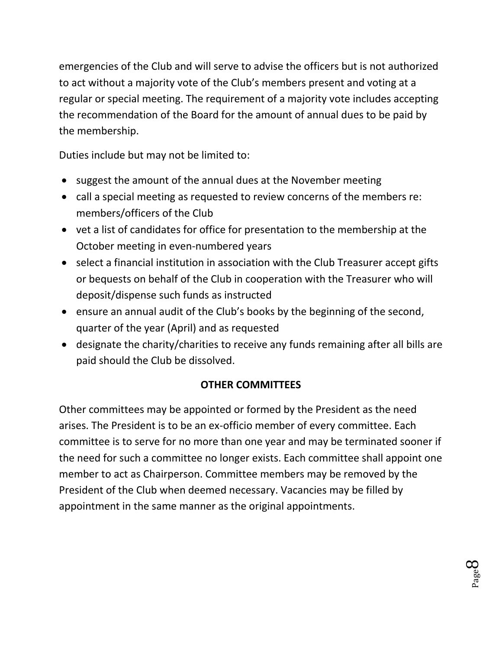emergencies of the Club and will serve to advise the officers but is not authorized to act without a majority vote of the Club's members present and voting at a regular or special meeting. The requirement of a majority vote includes accepting the recommendation of the Board for the amount of annual dues to be paid by the membership.

Duties include but may not be limited to:

- suggest the amount of the annual dues at the November meeting
- call a special meeting as requested to review concerns of the members re: members/officers of the Club
- vet a list of candidates for office for presentation to the membership at the October meeting in even-numbered years
- select a financial institution in association with the Club Treasurer accept gifts or bequests on behalf of the Club in cooperation with the Treasurer who will deposit/dispense such funds as instructed
- ensure an annual audit of the Club's books by the beginning of the second, quarter of the year (April) and as requested
- designate the charity/charities to receive any funds remaining after all bills are paid should the Club be dissolved.

# **OTHER COMMITTEES**

Other committees may be appointed or formed by the President as the need arises. The President is to be an ex-officio member of every committee. Each committee is to serve for no more than one year and may be terminated sooner if the need for such a committee no longer exists. Each committee shall appoint one member to act as Chairperson. Committee members may be removed by the President of the Club when deemed necessary. Vacancies may be filled by appointment in the same manner as the original appointments.

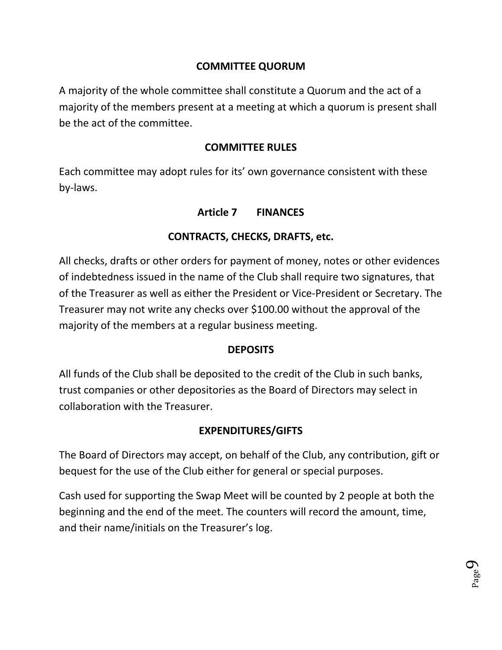# **COMMITTEE QUORUM**

A majority of the whole committee shall constitute a Quorum and the act of a majority of the members present at a meeting at which a quorum is present shall be the act of the committee.

### **COMMITTEE RULES**

Each committee may adopt rules for its' own governance consistent with these by-laws.

## **Article 7 FINANCES**

# **CONTRACTS, CHECKS, DRAFTS, etc.**

All checks, drafts or other orders for payment of money, notes or other evidences of indebtedness issued in the name of the Club shall require two signatures, that of the Treasurer as well as either the President or Vice-President or Secretary. The Treasurer may not write any checks over \$100.00 without the approval of the majority of the members at a regular business meeting.

## **DEPOSITS**

All funds of the Club shall be deposited to the credit of the Club in such banks, trust companies or other depositories as the Board of Directors may select in collaboration with the Treasurer.

## **EXPENDITURES/GIFTS**

The Board of Directors may accept, on behalf of the Club, any contribution, gift or bequest for the use of the Club either for general or special purposes.

Cash used for supporting the Swap Meet will be counted by 2 people at both the beginning and the end of the meet. The counters will record the amount, time, and their name/initials on the Treasurer's log.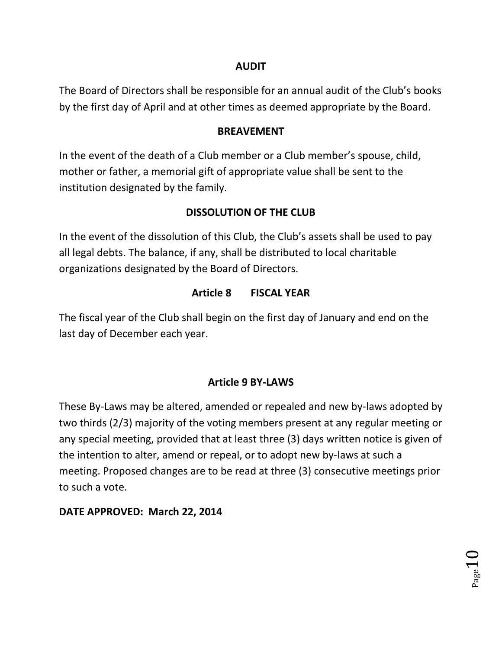### **AUDIT**

The Board of Directors shall be responsible for an annual audit of the Club's books by the first day of April and at other times as deemed appropriate by the Board.

### **BREAVEMENT**

In the event of the death of a Club member or a Club member's spouse, child, mother or father, a memorial gift of appropriate value shall be sent to the institution designated by the family.

# **DISSOLUTION OF THE CLUB**

In the event of the dissolution of this Club, the Club's assets shall be used to pay all legal debts. The balance, if any, shall be distributed to local charitable organizations designated by the Board of Directors.

# **Article 8 FISCAL YEAR**

The fiscal year of the Club shall begin on the first day of January and end on the last day of December each year.

# **Article 9 BY-LAWS**

These By-Laws may be altered, amended or repealed and new by-laws adopted by two thirds (2/3) majority of the voting members present at any regular meeting or any special meeting, provided that at least three (3) days written notice is given of the intention to alter, amend or repeal, or to adopt new by-laws at such a meeting. Proposed changes are to be read at three (3) consecutive meetings prior to such a vote.

# **DATE APPROVED: March 22, 2014**